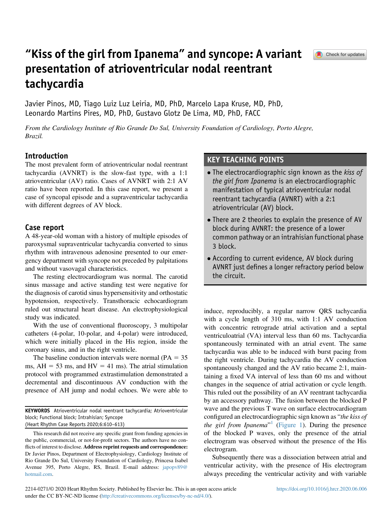# "Kiss of the girl from Ipanema" and syncope: A variant presentation of atrioventricular nodal reentrant tachycardia



Javier Pinos, MD, Tiago Luiz Luz Leiria, MD, PhD, Marcelo Lapa Kruse, MD, PhD, Leonardo Martins Pires, MD, PhD, Gustavo Glotz De Lima, MD, PhD, FACC

From the Cardiology Institute of Rio Grande Do Sul, University Foundation of Cardiology, Porto Alegre, Brazil.

## Introduction

The most prevalent form of atrioventricular nodal reentrant tachycardia (AVNRT) is the slow-fast type, with a 1:1 atrioventricular (AV) ratio. Cases of AVNRT with 2:1 AV ratio have been reported. In this case report, we present a case of syncopal episode and a supraventricular tachycardia with different degrees of AV block.

## Case report

A 48-year-old woman with a history of multiple episodes of paroxysmal supraventricular tachycardia converted to sinus rhythm with intravenous adenosine presented to our emergency department with syncope not preceded by palpitations and without vasovagal characteristics.

The resting electrocardiogram was normal. The carotid sinus massage and active standing test were negative for the diagnosis of carotid sinus hypersensitivity and orthostatic hypotension, respectively. Transthoracic echocardiogram ruled out structural heart disease. An electrophysiological study was indicated.

With the use of conventional fluoroscopy, 3 multipolar catheters (4-polar, 10-polar, and 4-polar) were introduced, which were initially placed in the His region, inside the coronary sinus, and in the right ventricle.

The baseline conduction intervals were normal ( $PA = 35$ ) ms,  $AH = 53$  ms, and  $HV = 41$  ms). The atrial stimulation protocol with programmed extrastimulation demonstrated a decremental and discontinuous AV conduction with the presence of AH jump and nodal echoes. We were able to

KEYWORDS Atrioventricular nodal reentrant tachycardia; Atrioventricular block; Functional block; Intrahisian; Syncope (Heart Rhythm Case Reports 2020;6:610–613)

## KEY TEACHING POINTS

- The electrocardiographic sign known as the kiss of the girl from Ipanema is an electrocardiographic manifestation of typical atrioventricular nodal reentrant tachycardia (AVNRT) with a 2:1 atrioventricular (AV) block.
- There are 2 theories to explain the presence of AV block during AVNRT: the presence of a lower common pathway or an intrahisian functional phase 3 block.
- According to current evidence, AV block during AVNRT just defines a longer refractory period below the circuit.

induce, reproducibly, a regular narrow QRS tachycardia with a cycle length of 310 ms, with 1:1 AV conduction with concentric retrograde atrial activation and a septal ventriculoatrial (VA) interval less than 60 ms. Tachycardia spontaneously terminated with an atrial event. The same tachycardia was able to be induced with burst pacing from the right ventricle. During tachycardia the AV conduction spontaneously changed and the AV ratio became 2:1, maintaining a fixed VA interval of less than 60 ms and without changes in the sequence of atrial activation or cycle length. This ruled out the possibility of an AV reentrant tachycardia by an accessory pathway. The fusion between the blocked P wave and the previous T wave on surface electrocardiogram configured an electrocardiographic sign known as "the kiss of the girl from Ipanema" $1$  [\(Figure 1\)](#page-1-0). During the presence of the blocked P waves, only the presence of the atrial electrogram was observed without the presence of the His electrogram.

Subsequently there was a dissociation between atrial and ventricular activity, with the presence of His electrogram always preceding the ventricular activity and with variable

This research did not receive any specific grant from funding agencies in the public, commercial, or not-for-profit sectors. The authors have no conflicts of interest to disclose. Address reprint requests and correspondence: Dr Javier Pinos, Department of Electrophysiology, Cardiology Institute of Rio Grande Do Sul, University Foundation of Cardiology, Princesa Isabel Avenue 395, Porto Alegre, RS, Brazil. E-mail address: [japopv89@](mailto:japopv89@hotmail.com) [hotmail.com.](mailto:japopv89@hotmail.com)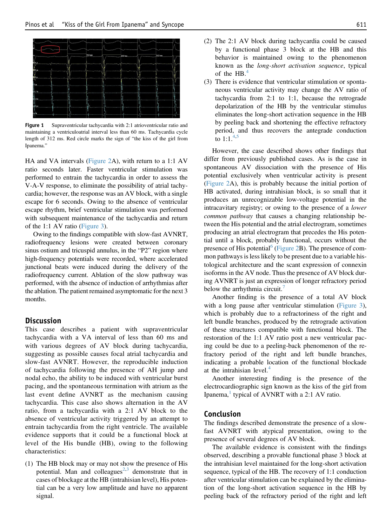<span id="page-1-0"></span>

Figure 1 Supraventricular tachycardia with 2:1 atrioventricular ratio and maintaining a ventriculoatrial interval less than 60 ms. Tachycardia cycle length of 312 ms. Red circle marks the sign of "the kiss of the girl from Ipanema."

HA and VA intervals ([Figure 2A](#page-2-1)), with return to a 1:1 AV ratio seconds later. Faster ventricular stimulation was performed to entrain the tachycardia in order to assess the V-A-V response, to eliminate the possibility of atrial tachycardia; however, the response was an AV block, with a single escape for 6 seconds. Owing to the absence of ventricular escape rhythm, brief ventricular stimulation was performed with subsequent maintenance of the tachycardia and return of the 1:1 AV ratio [\(Figure 3\)](#page-2-2).

Owing to the findings compatible with slow-fast AVNRT, radiofrequency lesions were created between coronary sinus ostium and tricuspid annulus, in the "P2" region where high-frequency potentials were recorded, where accelerated junctional beats were induced during the delivery of the radiofrequency current. Ablation of the slow pathway was performed, with the absence of induction of arrhythmias after the ablation. The patient remained asymptomatic for the next 3 months.

### **Discussion**

This case describes a patient with supraventricular tachycardia with a VA interval of less than 60 ms and with various degrees of AV block during tachycardia, suggesting as possible causes focal atrial tachycardia and slow-fast AVNRT. However, the reproducible induction of tachycardia following the presence of AH jump and nodal echo, the ability to be induced with ventricular burst pacing, and the spontaneous termination with atrium as the last event define AVNRT as the mechanism causing tachycardia. This case also shows alternation in the AV ratio, from a tachycardia with a 2:1 AV block to the absence of ventricular activity triggered by an attempt to entrain tachycardia from the right ventricle. The available evidence supports that it could be a functional block at level of the His bundle (HB), owing to the following characteristics:

(1) The HB block may or may not show the presence of His potential. Man and colleagues<sup>[2](#page-2-3),[3](#page-2-4)</sup> demonstrate that in cases of blockage at the HB (intrahisian level), His potential can be a very low amplitude and have no apparent signal.

- (2) The 2:1 AV block during tachycardia could be caused by a functional phase 3 block at the HB and this behavior is maintained owing to the phenomenon known as the long-short activation sequence, typical of the  $HB<sup>4</sup>$  $HB<sup>4</sup>$  $HB<sup>4</sup>$
- (3) There is evidence that ventricular stimulation or spontaneous ventricular activity may change the AV ratio of tachycardia from 2:1 to 1:1, because the retrograde depolarization of the HB by the ventricular stimulus eliminates the long-short activation sequence in the HB by peeling back and shortening the effective refractory period, and thus recovers the antegrade conduction to 1:1.<sup>4,[5](#page-3-1)</sup>

However, the case described shows other findings that differ from previously published cases. As is the case in spontaneous AV dissociation with the presence of His potential exclusively when ventricular activity is present [\(Figure 2A](#page-2-1)), this is probably because the initial portion of HB activated, during intrahisian block, is so small that it produces an unrecognizable low-voltage potential in the intracavitary registry; or owing to the presence of a lower common pathway that causes a changing relationship between the His potential and the atrial electrogram, sometimes producing an atrial electrogram that precedes the His potential until a block, probably functional, occurs without the presence of His potential $^{\circ}$  ([Figure 2B](#page-2-1)). The presence of common pathways is less likely to be present due to a variable histological architecture and the scant expression of connexin isoforms in the AV node. Thus the presence of AV block during AVNRT is just an expression of longer refractory period below the arrhythmia circuit.<sup>[7](#page-3-3)</sup>

Another finding is the presence of a total AV block with a long pause after ventricular stimulation ([Figure 3](#page-2-2)), which is probably due to a refractoriness of the right and left bundle branches, produced by the retrograde activation of these structures compatible with functional block. The restoration of the 1:1 AV ratio post a new ventricular pacing could be due to a peeling-back phenomenon of the refractory period of the right and left bundle branches, indicating a probable location of the functional blockade at the intrahisian level.<sup>[4](#page-3-0)</sup>

Another interesting finding is the presence of the electrocardiographic sign known as the kiss of the girl from Ipanema, $<sup>1</sup>$  $<sup>1</sup>$  $<sup>1</sup>$  typical of AVNRT with a 2:1 AV ratio.</sup>

#### Conclusion

The findings described demonstrate the presence of a slowfast AVNRT with atypical presentation, owing to the presence of several degrees of AV block.

The available evidence is consistent with the findings observed, describing a provable functional phase 3 block at the intrahisian level maintained for the long-short activation sequence, typical of the HB. The recovery of 1:1 conduction after ventricular stimulation can be explained by the elimination of the long-short activation sequence in the HB by peeling back of the refractory period of the right and left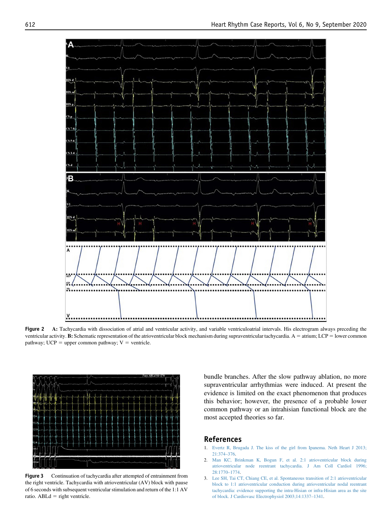<span id="page-2-1"></span>

Figure 2 A: Tachycardia with dissociation of atrial and ventricular activity, and variable ventriculoatrial intervals. His electrogram always preceding the ventricular activity. B: Schematic representation of the atrioventricular block mechanism during supraventricular tachycardia. A = atrium; LCP = lower common pathway;  $UCP = upper common pathway$ ;  $V = ventricle$ .

<span id="page-2-2"></span>

Figure 3 Continuation of tachycardia after attempted of entrainment from the right ventricle. Tachycardia with atrioventricular (AV) block with pause of 6 seconds with subsequent ventricular stimulation and return of the 1:1 AV ratio.  $ABLd = right$  ventricle.

bundle branches. After the slow pathway ablation, no more supraventricular arrhythmias were induced. At present the evidence is limited on the exact phenomenon that produces this behavior; however, the presence of a probable lower common pathway or an intrahisian functional block are the most accepted theories so far.

## References

- <span id="page-2-0"></span>1. [Evertz R, Brugada J. The kiss of the girl from Ipanema. Neth Heart J 2013;](http://refhub.elsevier.com/S2214-0271(20)30119-6/sref1) [21:374](http://refhub.elsevier.com/S2214-0271(20)30119-6/sref1)–376.
- <span id="page-2-3"></span>2. [Man KC, Brinkman K, Bogun F, et al. 2:1 atrioventricular block during](http://refhub.elsevier.com/S2214-0271(20)30119-6/sref2) [atrioventricular node reentrant tachycardia. J Am Coll Cardiol 1996;](http://refhub.elsevier.com/S2214-0271(20)30119-6/sref2) [28:1770](http://refhub.elsevier.com/S2214-0271(20)30119-6/sref2)–1774.
- <span id="page-2-4"></span>3. [Lee SH, Tai CT, Chiang CE, et al. Spontaneous transition of 2:1 atrioventricular](http://refhub.elsevier.com/S2214-0271(20)30119-6/sref3) [block to 1:1 atrioventricular conduction during atrioventricular nodal reentrant](http://refhub.elsevier.com/S2214-0271(20)30119-6/sref3) [tachycardia: evidence supporting the intra-Hisian or infra-Hisian area as the site](http://refhub.elsevier.com/S2214-0271(20)30119-6/sref3) [of block. J Cardiovasc Electrophysiol 2003;14:1337](http://refhub.elsevier.com/S2214-0271(20)30119-6/sref3)–1341.